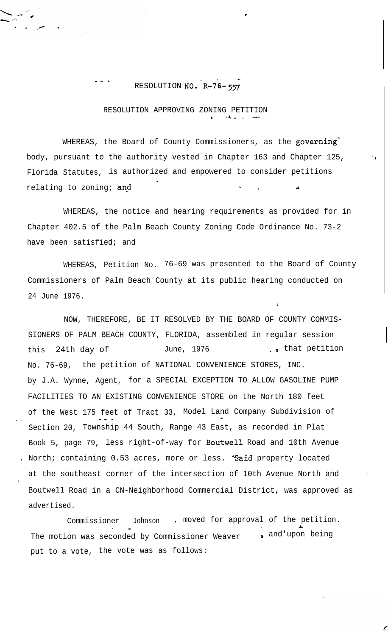## RESOLUTION NO. R-76-557

- -. \_

.

## RESOLUTION APPROVING ZONING PETITION <sup>L</sup> ,4-, A-

.

WHEREAS, the Board of County Commissioners, as the governing body, pursuant to the authority vested in Chapter 163 and Chapter 125, Florida Statutes, is authorized and empowered to consider petitions relating to zoning; and . \ . *ry*

WHEREAS, the notice and hearing requirements as provided for in Chapter 402.5 of the Palm Beach County Zoning Code Ordinance No. 73-2 have been satisfied; and

WHEREAS, Petition No. 76-69 was presented to the Board of County Commissioners of Palm Beach County at its public hearing conducted on 24 June 1976.

NOW, THEREFORE, BE IT RESOLVED BY THE BOARD OF COUNTY COMMIS-SIONERS OF PALM BEACH COUNTY, FLORIDA, assembled in regular session this 24th day of June, 1976 ..., that petition No. 76-69, the petition of NATIONAL CONVENIENCE STORES, INC. by J.A. Wynne, Agent, for a SPECIAL EXCEPTION TO ALLOW GASOLINE PUMP FACILITIES TO AN EXISTING CONVENIENCE STORE on the North 180 feet of the West 175 feet of Tract 33, Model Land Company Subdivision of . . - -4 \_ \* Section 20, Township 44 South, Range 43 East, as recorded in Plat Book 5, page 79, less right-of-way for Boutwell Road and 10th Avenue . North; containing 0.53 acres, more or less. "Said property located at the southeast corner of the intersection of 10th Avenue North and Boutwell Road in a CN-Neighborhood Commercial District, was approved as advertised.

Commissioner Johnson , moved for approval of the petition. . The contract of the contract of the contract of the contract of the contract of the contract of the contract of the contract of the contract of the contract of the contract of the contract of the contract of the contrac The motion was seconded by Commissioner Weaver  $\qquad \, \bullet \,$  and'upon being put to a vote, the vote was as follows:

 $\mathbf{r}_{\mathbf{r}}$